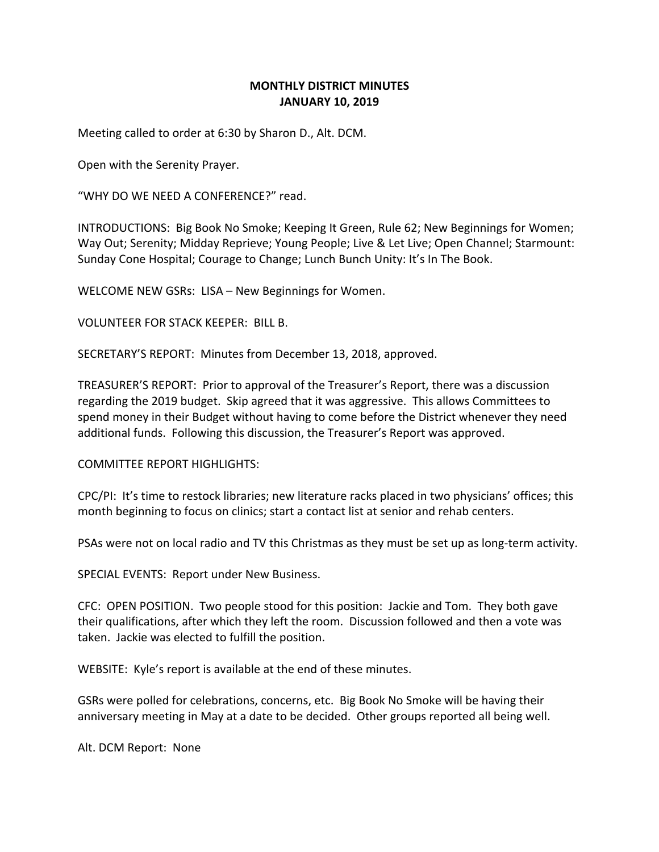## **MONTHLY DISTRICT MINUTES JANUARY 10, 2019**

Meeting called to order at 6:30 by Sharon D., Alt. DCM.

Open with the Serenity Prayer.

"WHY DO WE NEED A CONFERENCE?" read.

INTRODUCTIONS: Big Book No Smoke; Keeping It Green, Rule 62; New Beginnings for Women; Way Out; Serenity; Midday Reprieve; Young People; Live & Let Live; Open Channel; Starmount: Sunday Cone Hospital; Courage to Change; Lunch Bunch Unity: It's In The Book.

WELCOME NEW GSRs: LISA – New Beginnings for Women.

VOLUNTEER FOR STACK KEEPER: BILL B.

SECRETARY'S REPORT: Minutes from December 13, 2018, approved.

TREASURER'S REPORT: Prior to approval of the Treasurer's Report, there was a discussion regarding the 2019 budget. Skip agreed that it was aggressive. This allows Committees to spend money in their Budget without having to come before the District whenever they need additional funds. Following this discussion, the Treasurer's Report was approved.

COMMITTEE REPORT HIGHLIGHTS:

CPC/PI: It's time to restock libraries; new literature racks placed in two physicians' offices; this month beginning to focus on clinics; start a contact list at senior and rehab centers.

PSAs were not on local radio and TV this Christmas as they must be set up as long-term activity.

SPECIAL EVENTS: Report under New Business.

CFC: OPEN POSITION. Two people stood for this position: Jackie and Tom. They both gave their qualifications, after which they left the room. Discussion followed and then a vote was taken. Jackie was elected to fulfill the position.

WEBSITE: Kyle's report is available at the end of these minutes.

GSRs were polled for celebrations, concerns, etc. Big Book No Smoke will be having their anniversary meeting in May at a date to be decided. Other groups reported all being well.

Alt. DCM Report: None